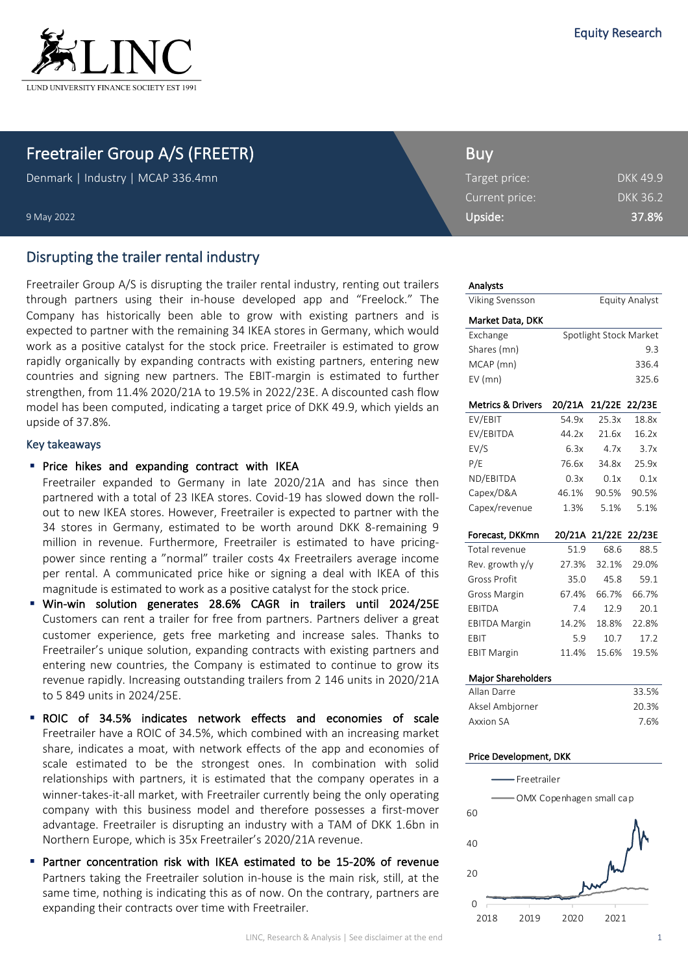

## Freetrailer Group A/S (FREETR)

Denmark | Industry | MCAP 336.4mn

9 May 2022

## Disrupting the trailer rental industry

Freetrailer Group A/S is disrupting the trailer rental industry, renting out trailers through partners using their in-house developed app and "Freelock." The Company has historically been able to grow with existing partners and is expected to partner with the remaining 34 IKEA stores in Germany, which would work as a positive catalyst for the stock price. Freetrailer is estimated to grow rapidly organically by expanding contracts with existing partners, entering new countries and signing new partners. The EBIT-margin is estimated to further strengthen, from 11.4% 2020/21A to 19.5% in 2022/23E. A discounted cash flow model has been computed, indicating a target price of DKK 49.9, which yields an upside of 37.8%.

#### Key takeaways

#### **•** Price hikes and expanding contract with IKEA

Freetrailer expanded to Germany in late 2020/21A and has since then partnered with a total of 23 IKEA stores. Covid-19 has slowed down the rollout to new IKEA stores. However, Freetrailer is expected to partner with the 34 stores in Germany, estimated to be worth around DKK 8-remaining 9 million in revenue. Furthermore, Freetrailer is estimated to have pricingpower since renting a "normal" trailer costs 4x Freetrailers average income per rental. A communicated price hike or signing a deal with IKEA of this magnitude is estimated to work as a positive catalyst for the stock price.

- § Win-win solution generates 28.6% CAGR in trailers until 2024/25E Customers can rent a trailer for free from partners. Partners deliver a great customer experience, gets free marketing and increase sales. Thanks to Freetrailer's unique solution, expanding contracts with existing partners and entering new countries, the Company is estimated to continue to grow its revenue rapidly. Increasing outstanding trailers from 2 146 units in 2020/21A to 5 849 units in 2024/25E.
- ROIC of 34.5% indicates network effects and economies of scale Freetrailer have a ROIC of 34.5%, which combined with an increasing market share, indicates a moat, with network effects of the app and economies of scale estimated to be the strongest ones. In combination with solid relationships with partners, it is estimated that the company operates in a winner-takes-it-all market, with Freetrailer currently being the only operating company with this business model and therefore possesses a first-mover advantage. Freetrailer is disrupting an industry with a TAM of DKK 1.6bn in Northern Europe, which is 35x Freetrailer's 2020/21A revenue.
- Partner concentration risk with IKEA estimated to be 15-20% of revenue Partners taking the Freetrailer solution in-house is the main risk, still, at the same time, nothing is indicating this as of now. On the contrary, partners are expanding their contracts over time with Freetrailer.

| Buy           |  |
|---------------|--|
| Target price: |  |

| Target price:  | <b>DKK 49.9</b> |
|----------------|-----------------|
| Current price: | <b>DKK 36.2</b> |
| Upside:        | 37.8%           |

#### Analysts

 $\Omega$ 

2018 2019 2020 2021

| <b>Viking Svensson</b>       |                            |               | <b>Equity Analyst</b>  |
|------------------------------|----------------------------|---------------|------------------------|
| Market Data, DKK             |                            |               |                        |
| Exchange                     |                            |               | Spotlight Stock Market |
| Shares (mn)                  |                            |               | 9.3                    |
| MCAP (mn)                    |                            |               | 336.4                  |
| EV (mn)                      |                            |               | 325.6                  |
| <b>Metrics &amp; Drivers</b> | 20/21A                     | 21/22E        | 22/23E                 |
| EV/EBIT                      | 54.9x                      | 25.3x         | 18.8x                  |
| EV/EBITDA                    | 44.2x                      | 21.6x         | 16.2x                  |
| EV/S                         | 6.3x                       | 4.7x          | 3.7x                   |
| P/E                          | 76.6x                      | 34.8x         | 25.9x                  |
| ND/EBITDA                    | 0.3x                       | 0.1x          | 0.1x                   |
| Capex/D&A                    | 46.1%                      | 90.5%         | 90.5%                  |
| Capex/revenue                | 1.3%                       | 5.1%          | 5.1%                   |
| Forecast, DKKmn              |                            | 20/21A 21/22E | 22/23E                 |
| Total revenue                | 51.9                       | 68.6          | 88.5                   |
| Rev. growth $y/y$            | 27.3%                      | 32.1%         | 29.0%                  |
| Gross Profit                 | 35.0                       | 45.8          | 59.1                   |
| Gross Margin                 | 67.4%                      | 66.7%         | 66.7%                  |
| EBITDA                       | 7.4                        | 12.9          | 20.1                   |
| <b>EBITDA Margin</b>         | 14.2%                      | 18.8%         | 22.8%                  |
| EBIT                         | 5.9                        | 10.7          | 17.2                   |
| <b>EBIT Margin</b>           | 11.4%                      | 15.6%         | 19.5%                  |
| Major Shareholders           |                            |               |                        |
| Allan Darre                  |                            |               | 33.5%                  |
| Aksel Ambjorner              |                            |               | 20.3%                  |
| <b>Axxion SA</b>             |                            |               | 7.6%                   |
| Price Development, DKK       |                            |               |                        |
| - Freetrailer                |                            |               |                        |
|                              | - OMX Copenhagen small cap |               |                        |
| 60                           |                            |               |                        |
| 40                           |                            |               |                        |
|                              |                            |               |                        |
| 20                           |                            |               |                        |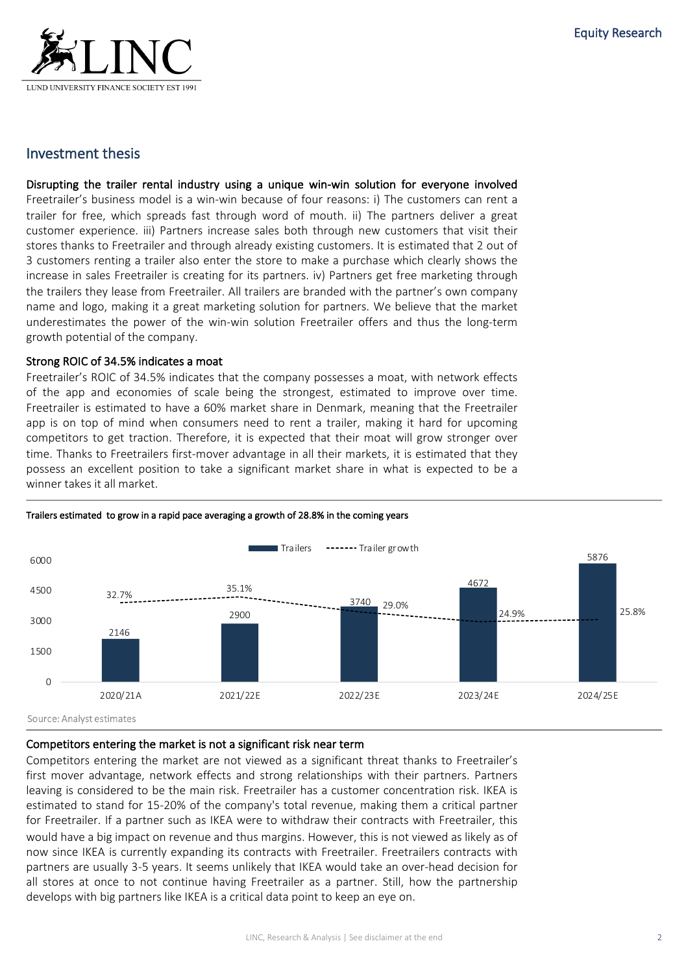

## Investment thesis

Disrupting the trailer rental industry using a unique win-win solution for everyone involved Freetrailer's business model is a win-win because of four reasons: i) The customers can rent a trailer for free, which spreads fast through word of mouth. ii) The partners deliver a great customer experience. iii) Partners increase sales both through new customers that visit their stores thanks to Freetrailer and through already existing customers. It is estimated that 2 out of 3 customers renting a trailer also enter the store to make a purchase which clearly shows the increase in sales Freetrailer is creating for its partners. iv) Partners get free marketing through the trailers they lease from Freetrailer. All trailers are branded with the partner's own company name and logo, making it a great marketing solution for partners. We believe that the market underestimates the power of the win-win solution Freetrailer offers and thus the long-term growth potential of the company.

#### Strong ROIC of 34.5% indicates a moat

Freetrailer's ROIC of 34.5% indicates that the company possesses a moat, with network effects of the app and economies of scale being the strongest, estimated to improve over time. Freetrailer is estimated to have a 60% market share in Denmark, meaning that the Freetrailer app is on top of mind when consumers need to rent a trailer, making it hard for upcoming competitors to get traction. Therefore, it is expected that their moat will grow stronger over time. Thanks to Freetrailers first-mover advantage in all their markets, it is estimated that they possess an excellent position to take a significant market share in what is expected to be a winner takes it all market.



#### Trailers estimated to grow in a rapid pace averaging a growth of 28.8% in the coming years

#### Competitors entering the market is not a significant risk near term

Competitors entering the market are not viewed as a significant threat thanks to Freetrailer's first mover advantage, network effects and strong relationships with their partners. Partners leaving is considered to be the main risk. Freetrailer has a customer concentration risk. IKEA is estimated to stand for 15-20% of the company's total revenue, making them a critical partner for Freetrailer. If a partner such as IKEA were to withdraw their contracts with Freetrailer, this would have a big impact on revenue and thus margins. However, this is not viewed as likely as of now since IKEA is currently expanding its contracts with Freetrailer. Freetrailers contracts with partners are usually 3-5 years. It seems unlikely that IKEA would take an over-head decision for all stores at once to not continue having Freetrailer as a partner. Still, how the partnership develops with big partners like IKEA is a critical data point to keep an eye on.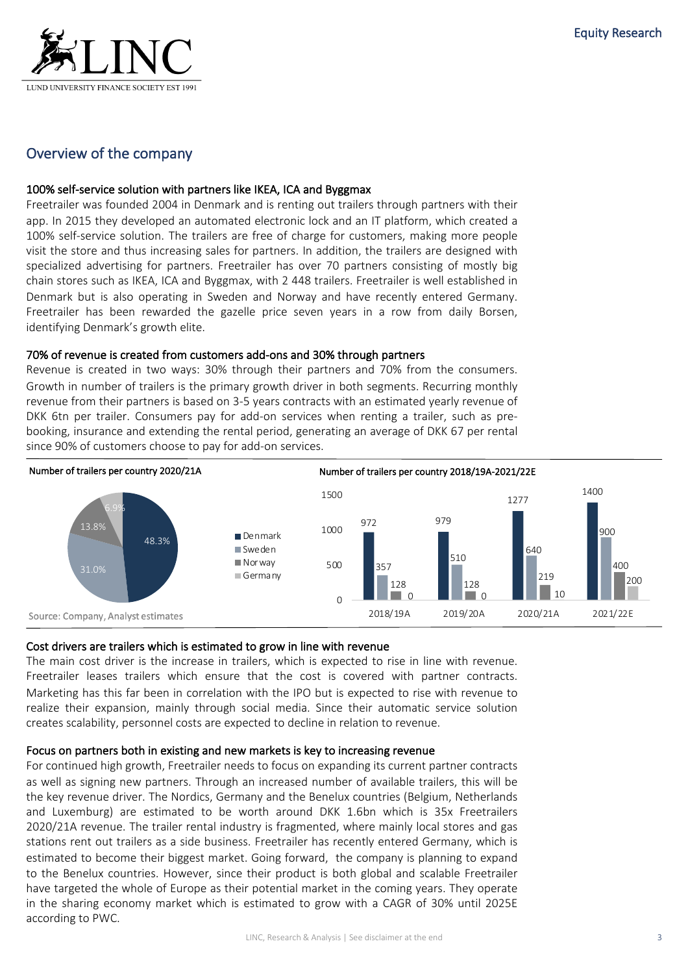

## Overview of the company

#### 100% self-service solution with partners like IKEA, ICA and Byggmax

Freetrailer was founded 2004 in Denmark and is renting out trailers through partners with their app. In 2015 they developed an automated electronic lock and an IT platform, which created a 100% self-service solution. The trailers are free of charge for customers, making more people visit the store and thus increasing sales for partners. In addition, the trailers are designed with specialized advertising for partners. Freetrailer has over 70 partners consisting of mostly big chain stores such as IKEA, ICA and Byggmax, with 2 448 trailers. Freetrailer is well established in Denmark but is also operating in Sweden and Norway and have recently entered Germany. Freetrailer has been rewarded the gazelle price seven years in a row from daily Borsen, identifying Denmark's growth elite.

#### 70% of revenue is created from customers add-ons and 30% through partners

Revenue is created in two ways: 30% through their partners and 70% from the consumers. Growth in number of trailers is the primary growth driver in both segments. Recurring monthly revenue from their partners is based on 3-5 years contracts with an estimated yearly revenue of DKK 6tn per trailer. Consumers pay for add-on services when renting a trailer, such as prebooking, insurance and extending the rental period, generating an average of DKK 67 per rental since 90% of customers choose to pay for add-on services.



#### Cost drivers are trailers which is estimated to grow in line with revenue

The main cost driver is the increase in trailers, which is expected to rise in line with revenue. Freetrailer leases trailers which ensure that the cost is covered with partner contracts. Marketing has this far been in correlation with the IPO but is expected to rise with revenue to realize their expansion, mainly through social media. Since their automatic service solution creates scalability, personnel costs are expected to decline in relation to revenue.

#### Focus on partners both in existing and new markets is key to increasing revenue

For continued high growth, Freetrailer needs to focus on expanding its current partner contracts as well as signing new partners. Through an increased number of available trailers, this will be the key revenue driver. The Nordics, Germany and the Benelux countries (Belgium, Netherlands and Luxemburg) are estimated to be worth around DKK 1.6bn which is 35x Freetrailers 2020/21A revenue. The trailer rental industry is fragmented, where mainly local stores and gas stations rent out trailers as a side business. Freetrailer has recently entered Germany, which is estimated to become their biggest market. Going forward, the company is planning to expand to the Benelux countries. However, since their product is both global and scalable Freetrailer have targeted the whole of Europe as their potential market in the coming years. They operate in the sharing economy market which is estimated to grow with a CAGR of 30% until 2025E according to PWC.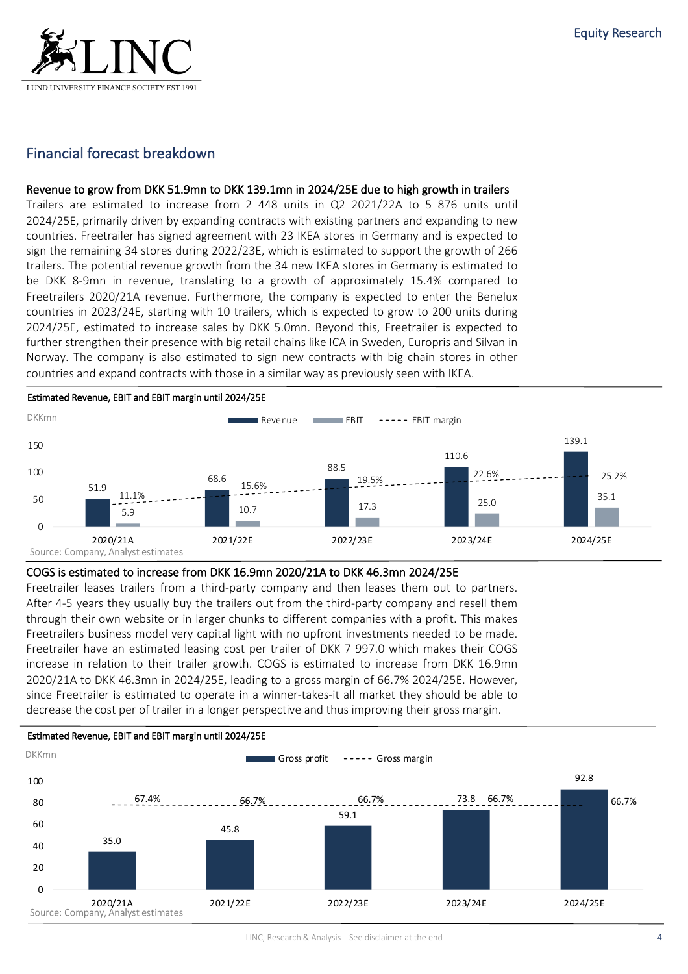

## Financial forecast breakdown

#### Revenue to grow from DKK 51.9mn to DKK 139.1mn in 2024/25E due to high growth in trailers

Trailers are estimated to increase from 2 448 units in Q2 2021/22A to 5 876 units until 2024/25E, primarily driven by expanding contracts with existing partners and expanding to new countries. Freetrailer has signed agreement with 23 IKEA stores in Germany and is expected to sign the remaining 34 stores during 2022/23E, which is estimated to support the growth of 266 trailers. The potential revenue growth from the 34 new IKEA stores in Germany is estimated to be DKK 8-9mn in revenue, translating to a growth of approximately 15.4% compared to Freetrailers 2020/21A revenue. Furthermore, the company is expected to enter the Benelux countries in 2023/24E, starting with 10 trailers, which is expected to grow to 200 units during 2024/25E, estimated to increase sales by DKK 5.0mn. Beyond this, Freetrailer is expected to further strengthen their presence with big retail chains like ICA in Sweden, Europris and Silvan in Norway. The company is also estimated to sign new contracts with big chain stores in other countries and expand contracts with those in a similar way as previously seen with IKEA.



#### COGS is estimated to increase from DKK 16.9mn 2020/21A to DKK 46.3mn 2024/25E

Freetrailer leases trailers from a third-party company and then leases them out to partners. After 4-5 years they usually buy the trailers out from the third-party company and resell them through their own website or in larger chunks to different companies with a profit. This makes Freetrailers business model very capital light with no upfront investments needed to be made. Freetrailer have an estimated leasing cost per trailer of DKK 7 997.0 which makes their COGS increase in relation to their trailer growth. COGS is estimated to increase from DKK 16.9mn 2020/21A to DKK 46.3mn in 2024/25E, leading to a gross margin of 66.7% 2024/25E. However, since Freetrailer is estimated to operate in a winner-takes-it all market they should be able to decrease the cost per of trailer in a longer perspective and thus improving their gross margin.

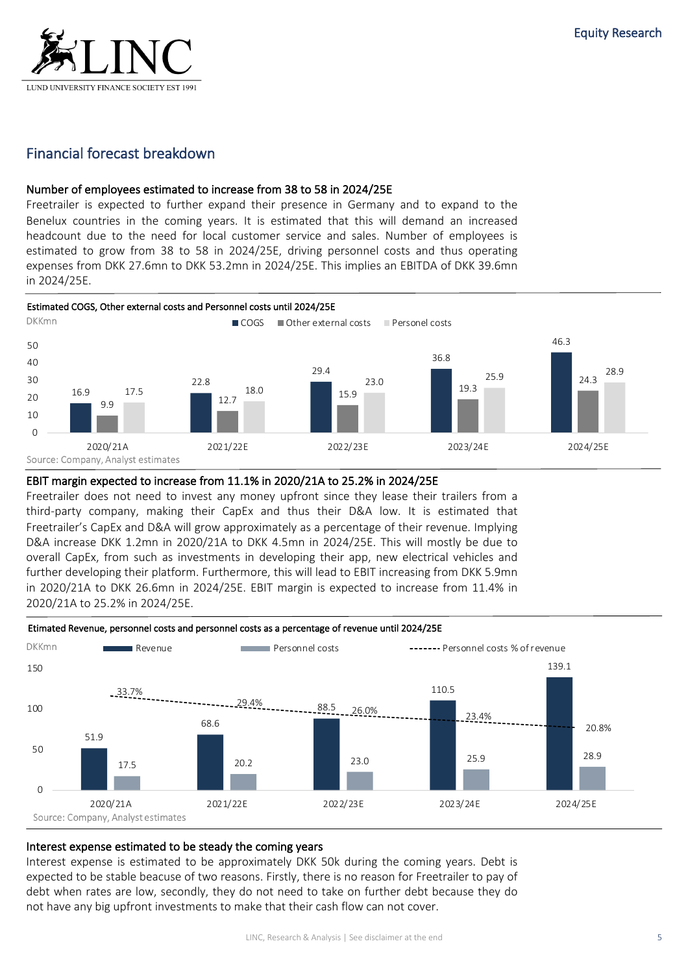

## Financial forecast breakdown

#### Number of employees estimated to increase from 38 to 58 in 2024/25E

Freetrailer is expected to further expand their presence in Germany and to expand to the Benelux countries in the coming years. It is estimated that this will demand an increased headcount due to the need for local customer service and sales. Number of employees is estimated to grow from 38 to 58 in 2024/25E, driving personnel costs and thus operating expenses from DKK 27.6mn to DKK 53.2mn in 2024/25E. This implies an EBITDA of DKK 39.6mn in 2024/25E.



#### EBIT margin expected to increase from 11.1% in 2020/21A to 25.2% in 2024/25E

Freetrailer does not need to invest any money upfront since they lease their trailers from a third-party company, making their CapEx and thus their D&A low. It is estimated that Freetrailer's CapEx and D&A will grow approximately as a percentage of their revenue. Implying D&A increase DKK 1.2mn in 2020/21A to DKK 4.5mn in 2024/25E. This will mostly be due to overall CapEx, from such as investments in developing their app, new electrical vehicles and further developing their platform. Furthermore, this will lead to EBIT increasing from DKK 5.9mn in 2020/21A to DKK 26.6mn in 2024/25E. EBIT margin is expected to increase from 11.4% in 2020/21A to 25.2% in 2024/25E.



#### Etimated Revenue, personnel costs and personnel costs as a percentage of revenue until 2024/25E

## Interest expense estimated to be steady the coming years

Interest expense is estimated to be approximately DKK 50k during the coming years. Debt is expected to be stable beacuse of two reasons. Firstly, there is no reason for Freetrailer to pay of debt when rates are low, secondly, they do not need to take on further debt because they do not have any big upfront investments to make that their cash flow can not cover.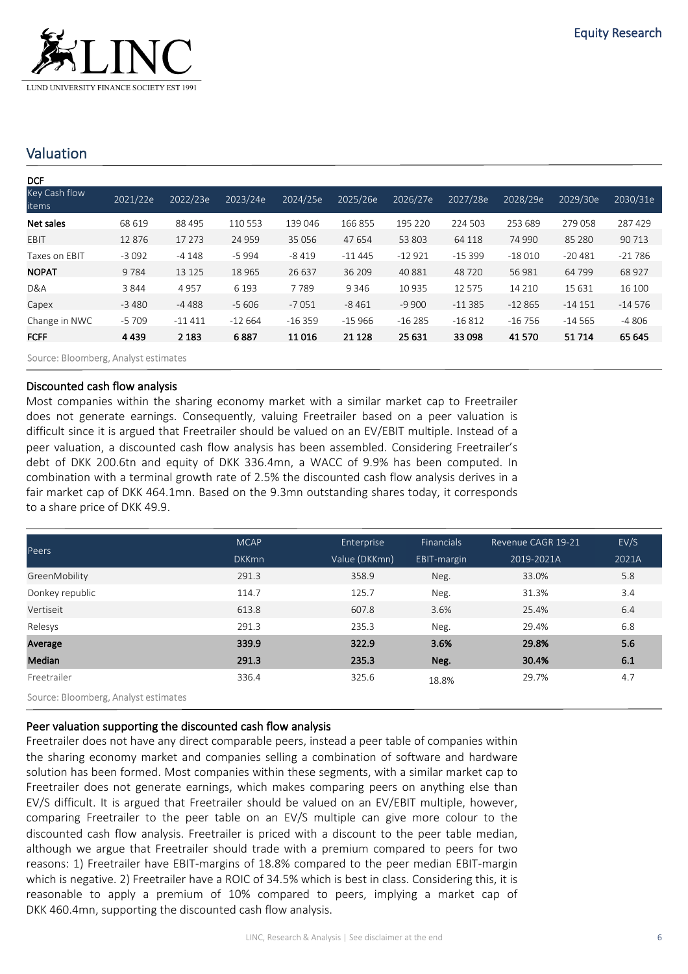

## Valuation

| <b>DCF</b>             |          |          |          |          |          |          |          |          |          |          |
|------------------------|----------|----------|----------|----------|----------|----------|----------|----------|----------|----------|
| Key Cash flow<br>items | 2021/22e | 2022/23e | 2023/24e | 2024/25e | 2025/26e | 2026/27e | 2027/28e | 2028/29e | 2029/30e | 2030/31e |
| Net sales              | 68 619   | 88 495   | 110 553  | 139 046  | 166 855  | 195 220  | 224 503  | 253 689  | 279 058  | 287 429  |
| EBIT                   | 12876    | 17 273   | 24 959   | 35 0 56  | 47 654   | 53 803   | 64 118   | 74 990   | 85 280   | 90 713   |
| Taxes on EBIT          | $-3092$  | $-4148$  | $-5994$  | $-8419$  | $-11445$ | $-12921$ | $-15399$ | $-18010$ | $-20481$ | $-21786$ |
| <b>NOPAT</b>           | 9784     | 13 1 25  | 18 9 65  | 26 637   | 36 209   | 40881    | 48720    | 56 981   | 64 799   | 68 927   |
| D&A                    | 3844     | 4957     | 6 1 9 3  | 7789     | 9 3 4 6  | 10 935   | 12 5 7 5 | 14 2 10  | 15 631   | 16 100   |
| Capex                  | $-3480$  | $-4488$  | $-5606$  | $-7051$  | $-8461$  | $-9900$  | $-11385$ | $-12865$ | $-14151$ | $-14576$ |
| Change in NWC          | $-5709$  | $-11411$ | $-12664$ | $-16359$ | $-15966$ | $-16285$ | $-16812$ | $-16756$ | $-14565$ | $-4806$  |
| <b>FCFF</b>            | 4439     | 2 1 8 3  | 6887     | 11016    | 21 1 28  | 25 631   | 33 098   | 41 570   | 51 7 14  | 65 645   |
|                        |          |          |          |          |          |          |          |          |          |          |

Source: Bloomberg, Analyst estimates

#### Discounted cash flow analysis

Most companies within the sharing economy market with a similar market cap to Freetrailer does not generate earnings. Consequently, valuing Freetrailer based on a peer valuation is difficult since it is argued that Freetrailer should be valued on an EV/EBIT multiple. Instead of a peer valuation, a discounted cash flow analysis has been assembled. Considering Freetrailer's debt of DKK 200.6tn and equity of DKK 336.4mn, a WACC of 9.9% has been computed. In combination with a terminal growth rate of 2.5% the discounted cash flow analysis derives in a fair market cap of DKK 464.1mn. Based on the 9.3mn outstanding shares today, it corresponds to a share price of DKK 49.9.

|                                        | <b>MCAP</b>  | Enterprise    | <b>Financials</b> | Revenue CAGR 19-21 | EV/S  |  |
|----------------------------------------|--------------|---------------|-------------------|--------------------|-------|--|
| Peers                                  | <b>DKKmn</b> | Value (DKKmn) | EBIT-margin       | 2019-2021A         | 2021A |  |
| GreenMobility                          | 291.3        | 358.9         | Neg.              | 33.0%              | 5.8   |  |
| Donkey republic                        | 114.7        | 125.7         | Neg.              | 31.3%              | 3.4   |  |
| Vertiseit                              | 613.8        | 607.8         | 3.6%              | 25.4%              | 6.4   |  |
| Relesys                                | 291.3        | 235.3         | Neg.              | 29.4%              | 6.8   |  |
| Average                                | 339.9        | 322.9         | 3.6%              | 29.8%              | 5.6   |  |
| Median                                 | 291.3        | 235.3         | Neg.              | 30.4%              | 6.1   |  |
| Freetrailer                            | 336.4        | 325.6         | 18.8%             | 29.7%              | 4.7   |  |
| Courses Dispuelesse Anglust settmentes |              |               |                   |                    |       |  |

Source: Bloomberg, Analyst estimates

### Peer valuation supporting the discounted cash flow analysis

Freetrailer does not have any direct comparable peers, instead a peer table of companies within the sharing economy market and companies selling a combination of software and hardware solution has been formed. Most companies within these segments, with a similar market cap to Freetrailer does not generate earnings, which makes comparing peers on anything else than EV/S difficult. It is argued that Freetrailer should be valued on an EV/EBIT multiple, however, comparing Freetrailer to the peer table on an EV/S multiple can give more colour to the discounted cash flow analysis. Freetrailer is priced with a discount to the peer table median, although we argue that Freetrailer should trade with a premium compared to peers for two reasons: 1) Freetrailer have EBIT-margins of 18.8% compared to the peer median EBIT-margin which is negative. 2) Freetrailer have a ROIC of 34.5% which is best in class. Considering this, it is reasonable to apply a premium of 10% compared to peers, implying a market cap of DKK 460.4mn, supporting the discounted cash flow analysis.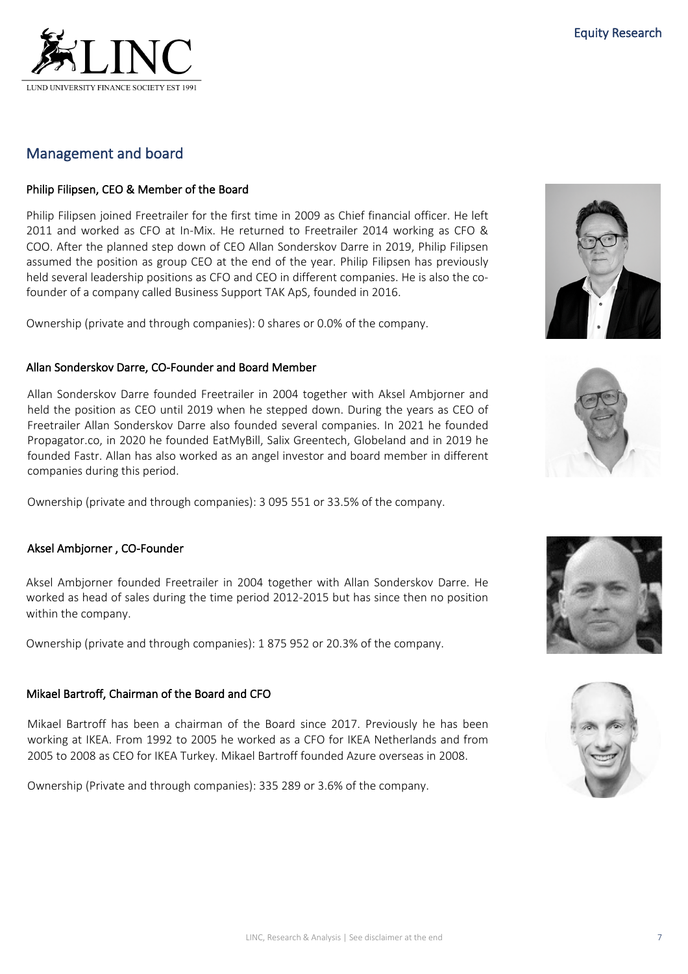## Management and board

## Philip Filipsen, CEO & Member of the Board

Philip Filipsen joined Freetrailer for the first time in 2009 as Chief financial officer. He left 2011 and worked as CFO at In-Mix. He returned to Freetrailer 2014 working as CFO & COO. After the planned step down of CEO Allan Sonderskov Darre in 2019, Philip Filipsen assumed the position as group CEO at the end of the year. Philip Filipsen has previously held several leadership positions as CFO and CEO in different companies. He is also the cofounder of a company called Business Support TAK ApS, founded in 2016.

Ownership (private and through companies): 0 shares or 0.0% of the company.

### Allan Sonderskov Darre, CO-Founder and Board Member

Allan Sonderskov Darre founded Freetrailer in 2004 together with Aksel Ambjorner and held the position as CEO until 2019 when he stepped down. During the years as CEO of Freetrailer Allan Sonderskov Darre also founded several companies. In 2021 he founded Propagator.co, in 2020 he founded EatMyBill, Salix Greentech, Globeland and in 2019 he founded Fastr. Allan has also worked as an angel investor and board member in different companies during this period.

Ownership (private and through companies): 3 095 551 or 33.5% of the company.

### Aksel Ambjorner , CO-Founder

Aksel Ambjorner founded Freetrailer in 2004 together with Allan Sonderskov Darre. He worked as head of sales during the time period 2012-2015 but has since then no position within the company.

Ownership (private and through companies): 1 875 952 or 20.3% of the company.

### Mikael Bartroff, Chairman of the Board and CFO

Mikael Bartroff has been a chairman of the Board since 2017. Previously he has been working at IKEA. From 1992 to 2005 he worked as a CFO for IKEA Netherlands and from 2005 to 2008 as CEO for IKEA Turkey. Mikael Bartroff founded Azure overseas in 2008.

Ownership (Private and through companies): 335 289 or 3.6% of the company.







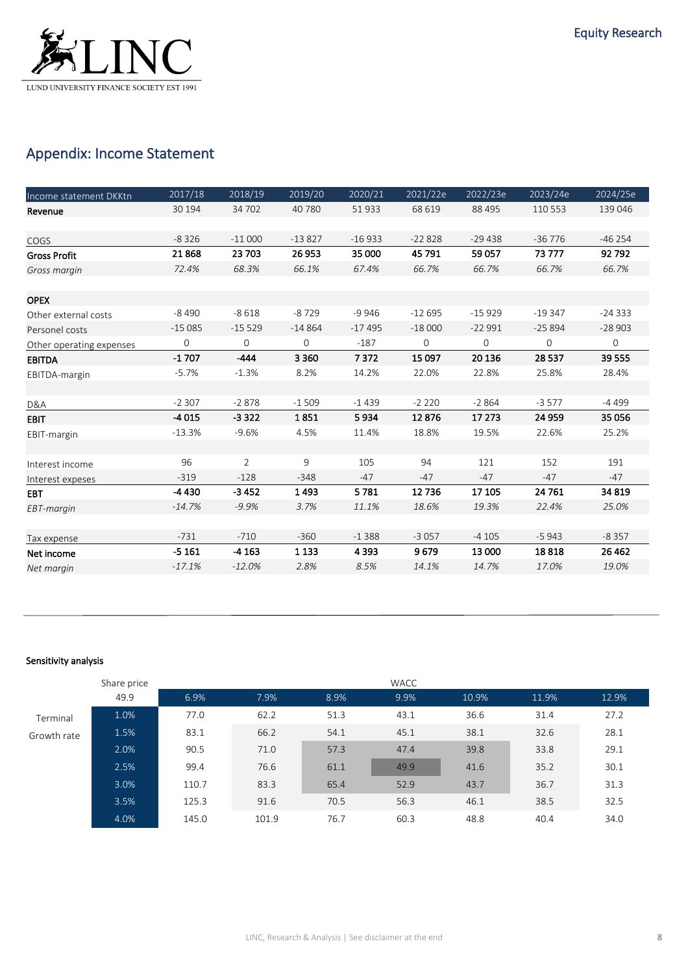

# Appendix: Income Statement

| Income statement DKKtn   | 2017/18     | 2018/19        | 2019/20     | 2020/21  | 2021/22e | 2022/23e    | 2023/24e     | 2024/25e     |
|--------------------------|-------------|----------------|-------------|----------|----------|-------------|--------------|--------------|
| Revenue                  | 30 194      | 34 702         | 40 780      | 51933    | 68 619   | 88 4 95     | 110 553      | 139 046      |
|                          |             |                |             |          |          |             |              |              |
| COGS                     | $-8326$     | $-11000$       | $-13827$    | $-16933$ | $-22828$ | $-29438$    | $-36776$     | $-46254$     |
| <b>Gross Profit</b>      | 21868       | 23 703         | 26 953      | 35 000   | 45 791   | 59 057      | 73 777       | 92792        |
| Gross margin             | 72.4%       | 68.3%          | 66.1%       | 67.4%    | 66.7%    | 66.7%       | 66.7%        | 66.7%        |
|                          |             |                |             |          |          |             |              |              |
| <b>OPEX</b>              |             |                |             |          |          |             |              |              |
| Other external costs     | $-8490$     | $-8618$        | $-8729$     | $-9946$  | $-12695$ | $-15929$    | $-19347$     | $-24333$     |
| Personel costs           | $-15085$    | $-15529$       | $-14864$    | $-17495$ | $-18000$ | $-22991$    | $-25894$     | $-28903$     |
| Other operating expenses | $\mathbf 0$ | 0              | $\mathbf 0$ | $-187$   | 0        | $\mathbf 0$ | $\mathbf{0}$ | $\mathsf{O}$ |
| <b>EBITDA</b>            | $-1707$     | $-444$         | 3 3 6 0     | 7372     | 15 097   | 20 13 6     | 28 5 37      | 39 555       |
| EBITDA-margin            | $-5.7%$     | $-1.3%$        | 8.2%        | 14.2%    | 22.0%    | 22.8%       | 25.8%        | 28.4%        |
|                          |             |                |             |          |          |             |              |              |
| D&A                      | $-2307$     | $-2878$        | $-1509$     | $-1439$  | $-2220$  | $-2864$     | $-3577$      | -4 499       |
| <b>EBIT</b>              | $-4015$     | $-3322$        | 1851        | 5934     | 12876    | 17 273      | 24 959       | 35 056       |
| EBIT-margin              | $-13.3%$    | $-9.6%$        | 4.5%        | 11.4%    | 18.8%    | 19.5%       | 22.6%        | 25.2%        |
|                          |             |                |             |          |          |             |              |              |
| Interest income          | 96          | $\overline{2}$ | 9           | 105      | 94       | 121         | 152          | 191          |
| Interest expeses         | $-319$      | $-128$         | $-348$      | $-47$    | $-47$    | $-47$       | $-47$        | $-47$        |
| <b>EBT</b>               | -4430       | $-3452$        | 1493        | 5781     | 12736    | 17 105      | 24 761       | 34 819       |
| EBT-margin               | $-14.7%$    | $-9.9%$        | 3.7%        | 11.1%    | 18.6%    | 19.3%       | 22.4%        | 25.0%        |
|                          |             |                |             |          |          |             |              |              |
| Tax expense              | $-731$      | $-710$         | $-360$      | $-1388$  | $-3057$  | $-4105$     | $-5943$      | $-8357$      |
| Net income               | $-5161$     | $-4163$        | 1 1 3 3     | 4 3 9 3  | 9679     | 13 000      | 18818        | 26 4 62      |
| Net margin               | $-17.1%$    | $-12.0%$       | 2.8%        | 8.5%     | 14.1%    | 14.7%       | 17.0%        | 19.0%        |

#### Sensitivity analysis

|             | Share price |       |       |      | WACC |       |       |       |
|-------------|-------------|-------|-------|------|------|-------|-------|-------|
|             | 49.9        | 6.9%  | 7.9%  | 8.9% | 9.9% | 10.9% | 11.9% | 12.9% |
| Terminal    | 1.0%        | 77.0  | 62.2  | 51.3 | 43.1 | 36.6  | 31.4  | 27.2  |
| Growth rate | 1.5%        | 83.1  | 66.2  | 54.1 | 45.1 | 38.1  | 32.6  | 28.1  |
|             | 2.0%        | 90.5  | 71.0  | 57.3 | 47.4 | 39.8  | 33.8  | 29.1  |
|             | 2.5%        | 99.4  | 76.6  | 61.1 | 49.9 | 41.6  | 35.2  | 30.1  |
|             | 3.0%        | 110.7 | 83.3  | 65.4 | 52.9 | 43.7  | 36.7  | 31.3  |
|             | 3.5%        | 125.3 | 91.6  | 70.5 | 56.3 | 46.1  | 38.5  | 32.5  |
|             | 4.0%        | 145.0 | 101.9 | 76.7 | 60.3 | 48.8  | 40.4  | 34.0  |